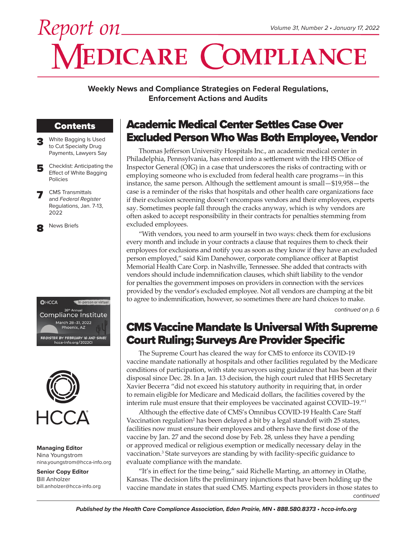# *Report on* **VEDICARE COMPLIANCE**

**Weekly News and Compliance Strategies on Federal Regulations, Enforcement Actions and Audits**

# Contents

- White Bagging Is Used to Cut Specialty Drug Payments, Lawyers Say
- 5 Checklist: Anticipating the Effect of White Bagging Policies
- **CMS** Transmittals and *Federal Register* Regulations, Jan. 7-13, 2022

News Briefs





**Managing Editor** Nina Youngstrom nina.youngstrom@hcca-info.org

**Senior Copy Editor** Bill Anholzer bill.anholzer@hcca-info.org

# Academic Medical Center Settles Case Over Excluded Person Who Was Both Employee, Vendor

Thomas Jefferson University Hospitals Inc., an academic medical center in Philadelphia, Pennsylvania, has entered into a settlement with the HHS Office of Inspector General (OIG) in a case that underscores the risks of contracting with or employing someone who is excluded from federal health care programs—in this instance, the same person. Although the settlement amount is small—\$19,958—the case is a reminder of the risks that hospitals and other health care organizations face if their exclusion screening doesn't encompass vendors and their employees, experts say. Sometimes people fall through the cracks anyway, which is why vendors are often asked to accept responsibility in their contracts for penalties stemming from excluded employees.

"With vendors, you need to arm yourself in two ways: check them for exclusions every month and include in your contracts a clause that requires them to check their employees for exclusions and notify you as soon as they know if they have an excluded person employed," said Kim Danehower, corporate compliance officer at Baptist Memorial Health Care Corp. in Nashville, Tennessee. She added that contracts with vendors should include indemnification clauses, which shift liability to the vendor for penalties the government imposes on providers in connection with the services provided by the vendor's excluded employee. Not all vendors are champing at the bit to agree to indemnification, however, so sometimes there are hard choices to make.

*continued on p. 6*

# CMS Vaccine Mandate Is Universal With Supreme Court Ruling; Surveys Are Provider Specific

The Supreme Court has cleared the way for CMS to enforce its COVID-19 vaccine mandate nationally at hospitals and other facilities regulated by the Medicare conditions of participation, with state surveyors using guidance that has been at their disposal since Dec. 28. In a Jan. 13 decision, the high court ruled that HHS Secretary Xavier Becerra "did not exceed his statutory authority in requiring that, in order to remain eligible for Medicare and Medicaid dollars, the facilities covered by the interim rule must ensure that their employees be vaccinated against COVID–19."1

Although the effective date of CMS's Omnibus COVID-19 Health Care Staff Vaccination regulation<sup>2</sup> has been delayed a bit by a legal standoff with 25 states, facilities now must ensure their employees and others have the first dose of the vaccine by Jan. 27 and the second dose by Feb. 28, unless they have a pending or approved medical or religious exemption or medically necessary delay in the vaccination.<sup>3</sup> State surveyors are standing by with facility-specific guidance to evaluate compliance with the mandate.

*continued* "It's in effect for the time being," said Richelle Marting, an attorney in Olathe, Kansas. The decision lifts the preliminary injunctions that have been holding up the vaccine mandate in states that sued CMS. Marting expects providers in those states to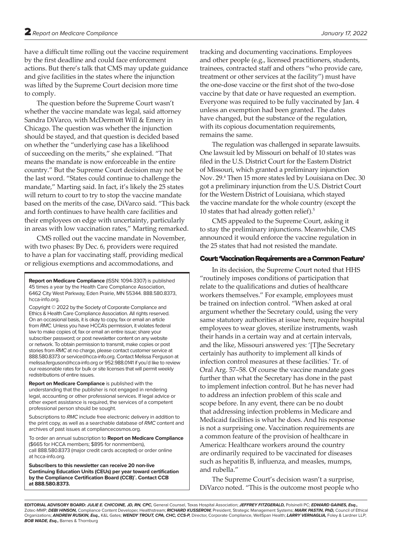have a difficult time rolling out the vaccine requirement by the first deadline and could face enforcement actions. But there's talk that CMS may update guidance and give facilities in the states where the injunction was lifted by the Supreme Court decision more time to comply.

The question before the Supreme Court wasn't whether the vaccine mandate was legal, said attorney Sandra DiVarco, with McDermott Will & Emery in Chicago. The question was whether the injunction should be stayed, and that question is decided based on whether the "underlying case has a likelihood of succeeding on the merits," she explained. "That means the mandate is now enforceable in the entire country." But the Supreme Court decision may not be the last word. "States could continue to challenge the mandate," Marting said. In fact, it's likely the 25 states will return to court to try to stop the vaccine mandate based on the merits of the case, DiVarco said. "This back and forth continues to have health care facilities and their employees on edge with uncertainty, particularly in areas with low vaccination rates," Marting remarked.

CMS rolled out the vaccine mandate in November, with two phases: By Dec. 6, providers were required to have a plan for vaccinating staff, providing medical or religious exemptions and accommodations, and

**Report on Medicare Compliance** (ISSN: 1094-3307) is published 45 times a year by the Health Care Compliance Association, 6462 City West Parkway, Eden Prairie, MN 55344. 888.580.8373, hcca-info.org.

Copyright © 2022 by the Society of Corporate Compliance and Ethics & Health Care Compliance Association. All rights reserved. On an occasional basis, it is okay to copy, fax or email an article from *RMC.* Unless you have HCCA's permission, it violates federal law to make copies of, fax or email an entire issue; share your subscriber password; or post newsletter content on any website or network. To obtain permission to transmit, make copies or post stories from *RMC* at no charge, please contact customer service at 888.580.8373 or service@hcca-info.org. Contact Melissa Ferguson at melissa.ferguson@hcca-info.org or 952.988.0141 if you'd like to review our reasonable rates for bulk or site licenses that will permit weekly redistributions of entire issues.

**Report on Medicare Compliance** is published with the understanding that the publisher is not engaged in rendering legal, accounting or other professional services. If legal advice or other expert assistance is required, the services of a competent professional person should be sought.

Subscriptions to *RMC* include free electronic delivery in addition to the print copy, as well as a searchable database of *RMC* content and archives of past issues at compliancecosmos.org.

To order an annual subscription to **Report on Medicare Compliance**  (\$665 for HCCA members; \$895 for nonmembers), call 888.580.8373 (major credit cards accepted) or order online at hcca-info.org.

**Subscribers to this newsletter can receive 20 non-live Continuing Education Units (CEUs) per year toward certification by the Compliance Certification Board (CCB)® . Contact CCB at 888.580.8373.**

tracking and documenting vaccinations. Employees and other people (e.g., licensed practitioners, students, trainees, contracted staff and others "who provide care, treatment or other services at the facility") must have the one-dose vaccine or the first shot of the two-dose vaccine by that date or have requested an exemption. Everyone was required to be fully vaccinated by Jan. 4 unless an exemption had been granted. The dates have changed, but the substance of the regulation, with its copious documentation requirements, remains the same.

The regulation was challenged in separate lawsuits. One lawsuit led by Missouri on behalf of 10 states was filed in the U.S. District Court for the Eastern District of Missouri, which granted a preliminary injunction Nov. 29.4 Then 15 more states led by Louisiana on Dec. 30 got a preliminary injunction from the U.S. District Court for the Western District of Louisiana, which stayed the vaccine mandate for the whole country (except the 10 states that had already gotten relief).5

CMS appealed to the Supreme Court, asking it to stay the preliminary injunctions. Meanwhile, CMS announced it would enforce the vaccine regulation in the 25 states that had not resisted the mandate.

#### Court: 'Vaccination Requirements are a Common Feature'

In its decision, the Supreme Court noted that HHS "routinely imposes conditions of participation that relate to the qualifications and duties of healthcare workers themselves." For example, employees must be trained on infection control. "When asked at oral argument whether the Secretary could, using the very same statutory authorities at issue here, require hospital employees to wear gloves, sterilize instruments, wash their hands in a certain way and at certain intervals, and the like, Missouri answered yes: '[T]he Secretary certainly has authority to implement all kinds of infection control measures at these facilities.' Tr. of Oral Arg. 57–58. Of course the vaccine mandate goes further than what the Secretary has done in the past to implement infection control. But he has never had to address an infection problem of this scale and scope before. In any event, there can be no doubt that addressing infection problems in Medicare and Medicaid facilities is what he does. And his response is not a surprising one. Vaccination requirements are a common feature of the provision of healthcare in America: Healthcare workers around the country are ordinarily required to be vaccinated for diseases such as hepatitis B, influenza, and measles, mumps, and rubella."

The Supreme Court's decision wasn't a surprise, DiVarco noted. "This is the outcome most people who

**EDITORIAL ADVISORY BOARD:** *JULIE E. CHICOINE, JD, RN, CPC,* General Counsel, Texas Hospital Association; *JEFFREY FITZGERALD,* Polsinelli PC; *EDWARD GAINES, Esq.,*  Zotec-MMP; *DEBI HINSON,* Compliance Content Developer, Healthstream; *RICHARD KUSSEROW,* President, Strategic Management Systems; *MARK PASTIN, PhD,* Council of Ethical Organizations; *ANDREW RUSKIN, Esq.,* K&L Gates; *WENDY TROUT, CPA, CHC, CCS-P,* Director, Corporate Compliance, WellSpan Health; *LARRY VERNAGLIA,* Foley & Lardner LLP; *BOB WADE, Esq.,* Barnes & Thornburg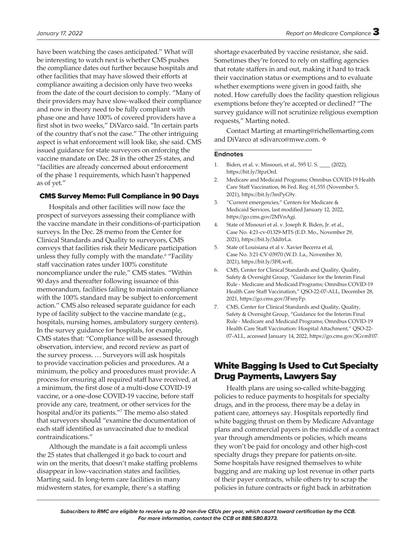have been watching the cases anticipated." What will be interesting to watch next is whether CMS pushes the compliance dates out further because hospitals and other facilities that may have slowed their efforts at compliance awaiting a decision only have two weeks from the date of the court decision to comply. "Many of their providers may have slow-walked their compliance and now in theory need to be fully compliant with phase one and have 100% of covered providers have a first shot in two weeks," DiVarco said. "In certain parts of the country that's not the case." The other intriguing aspect is what enforcement will look like, she said. CMS issued guidance for state surveyors on enforcing the

vaccine mandate on Dec. 28 in the other 25 states, and "facilities are already concerned about enforcement of the phase 1 requirements, which hasn't happened as of yet."

# CMS Survey Memo: Full Compliance in 90 Days

Hospitals and other facilities will now face the prospect of surveyors assessing their compliance with the vaccine mandate in their conditions-of-participation surveys. In the Dec. 28 memo from the Center for Clinical Standards and Quality to surveyors, CMS conveys that facilities risk their Medicare participation unless they fully comply with the mandate.<sup>6</sup> "Facility staff vaccination rates under 100% constitute noncompliance under the rule," CMS states. "Within 90 days and thereafter following issuance of this memorandum, facilities failing to maintain compliance with the 100% standard may be subject to enforcement action." CMS also released separate guidance for each type of facility subject to the vaccine mandate (e.g., hospitals, nursing homes, ambulatory surgery centers). In the survey guidance for hospitals, for example, CMS states that: "Compliance will be assessed through observation, interview, and record review as part of the survey process. … Surveyors will ask hospitals to provide vaccination policies and procedures. At a minimum, the policy and procedures must provide: A process for ensuring all required staff have received, at a minimum, the first dose of a multi-dose COVID-19 vaccine, or a one-dose COVID-19 vaccine, before staff provide any care, treatment, or other services for the hospital and/or its patients."7 The memo also stated that surveyors should "examine the documentation of each staff identified as unvaccinated due to medical contraindications."

Although the mandate is a fait accompli unless the 25 states that challenged it go back to court and win on the merits, that doesn't make staffing problems disappear in low-vaccination states and facilities, Marting said. In long-term care facilities in many midwestern states, for example, there's a staffing

Sometimes they're forced to rely on staffing agencies that rotate staffers in and out, making it hard to track their vaccination status or exemptions and to evaluate whether exemptions were given in good faith, she noted. How carefully does the facility question religious exemptions before they're accepted or declined? "The survey guidance will not scrutinize religious exemption requests," Marting noted.

Contact Marting at rmarting@richellemarting.com and DiVarco at sdivarco@mwe.com. ✧

#### **Endnotes**

- 1. Biden, et al. v. Missouri, et al., 595 U. S. \_\_\_\_ (2022), https://bit.ly/3tpzOnI.
- 2. Medicare and Medicaid Programs; Omnibus COVID-19 Health Care Staff Vaccination, 86 Fed. Reg. 61,555 (November 5, 2021), https://bit.ly/3mPyG9y.
- 3. "Current emergencies," Centers for Medicare & Medicaid Services, last modified January 12, 2022, https://go.cms.gov/2MVnAgi.
- 4. State of Missouri et al. v. Joseph R. Biden, Jr. et al., Case No. 4:21-cv-01329-MTS (E.D. Mo., November 29, 2021), https://bit.ly/3ddtrLa.
- 5. State of Louisiana et al v. Xavier Becerra et al, Case No. 3:21-CV-03970 (W.D. La., November 30, 2021), https://bit.ly/3I9LwrE.
- 6. CMS, Center for Clinical Standards and Quality, Quality, Safety & Oversight Group, "Guidance for the Interim Final Rule - Medicare and Medicaid Programs; Omnibus COVID-19 Health Care Staff Vaccination," QSO-22-07-ALL, December 28, 2021, https://go.cms.gov/3FsnyFp.
- 7. CMS, Center for Clinical Standards and Quality, Quality, Safety & Oversight Group, "Guidance for the Interim Final Rule - Medicare and Medicaid Programs; Omnibus COVID-19 Health Care Staff Vaccination: Hospital Attachment," QSO-22- 07-ALL, accessed January 14, 2022, https://go.cms.gov/3GvmF07.

# White Bagging Is Used to Cut Specialty Drug Payments, Lawyers Say

Health plans are using so-called white-bagging policies to reduce payments to hospitals for specialty drugs, and in the process, there may be a delay in patient care, attorneys say. Hospitals reportedly find white bagging thrust on them by Medicare Advantage plans and commercial payers in the middle of a contract year through amendments or policies, which means they won't be paid for oncology and other high-cost specialty drugs they prepare for patients on-site. Some hospitals have resigned themselves to white bagging and are making up lost revenue in other parts of their payer contracts, while others try to scrap the policies in future contracts or fight back in arbitration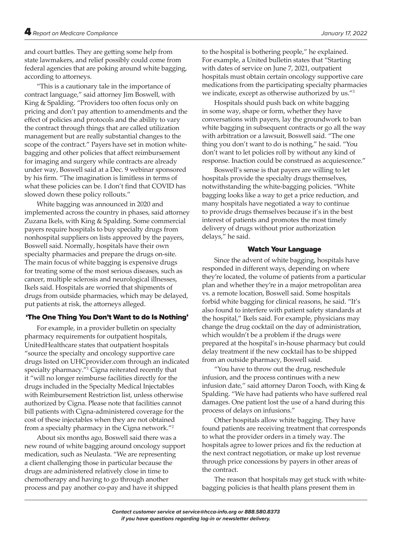and court battles. They are getting some help from state lawmakers, and relief possibly could come from federal agencies that are poking around white bagging, according to attorneys.

"This is a cautionary tale in the importance of contract language," said attorney Jim Boswell, with King & Spalding. "Providers too often focus only on pricing and don't pay attention to amendments and the effect of policies and protocols and the ability to vary the contract through things that are called utilization management but are really substantial changes to the scope of the contract." Payers have set in motion whitebagging and other policies that affect reimbursement for imaging and surgery while contracts are already under way, Boswell said at a Dec. 9 webinar sponsored by his firm. "The imagination is limitless in terms of what these policies can be. I don't find that COVID has slowed down these policy rollouts."

White bagging was announced in 2020 and implemented across the country in phases, said attorney Zuzana Ikels, with King & Spalding. Some commercial payers require hospitals to buy specialty drugs from nonhospital suppliers on lists approved by the payers, Boswell said. Normally, hospitals have their own specialty pharmacies and prepare the drugs on-site. The main focus of white bagging is expensive drugs for treating some of the most serious diseases, such as cancer, multiple sclerosis and neurological illnesses, Ikels said. Hospitals are worried that shipments of drugs from outside pharmacies, which may be delayed, put patients at risk, the attorneys alleged.

# 'The One Thing You Don't Want to do Is Nothing'

For example, in a provider bulletin on specialty pharmacy requirements for outpatient hospitals, UnitedHealthcare states that outpatient hospitals "source the specialty and oncology supportive care drugs listed on UHCprovider.com through an indicated specialty pharmacy."1 Cigna reiterated recently that it "will no longer reimburse facilities directly for the drugs included in the Specialty Medical Injectables with Reimbursement Restriction list, unless otherwise authorized by Cigna. Please note that facilities cannot bill patients with Cigna-administered coverage for the cost of these injectables when they are not obtained from a specialty pharmacy in the Cigna network."2

About six months ago, Boswell said there was a new round of white bagging around oncology support medication, such as Neulasta. "We are representing a client challenging those in particular because the drugs are administered relatively close in time to chemotherapy and having to go through another process and pay another co-pay and have it shipped

to the hospital is bothering people," he explained. For example, a United bulletin states that "Starting with dates of service on June 7, 2021, outpatient hospitals must obtain certain oncology supportive care medications from the participating specialty pharmacies we indicate, except as otherwise authorized by us."3

Hospitals should push back on white bagging in some way, shape or form, whether they have conversations with payers, lay the groundwork to ban white bagging in subsequent contracts or go all the way with arbitration or a lawsuit, Boswell said. "The one thing you don't want to do is nothing," he said. "You don't want to let policies roll by without any kind of response. Inaction could be construed as acquiescence."

Boswell's sense is that payers are willing to let hospitals provide the specialty drugs themselves, notwithstanding the white-bagging policies. "White bagging looks like a way to get a price reduction, and many hospitals have negotiated a way to continue to provide drugs themselves because it's in the best interest of patients and promotes the most timely delivery of drugs without prior authorization delays," he said.

# Watch Your Language

Since the advent of white bagging, hospitals have responded in different ways, depending on where they're located, the volume of patients from a particular plan and whether they're in a major metropolitan area vs. a remote location, Boswell said. Some hospitals forbid white bagging for clinical reasons, he said. "It's also found to interfere with patient safety standards at the hospital," Ikels said. For example, physicians may change the drug cocktail on the day of administration, which wouldn't be a problem if the drugs were prepared at the hospital's in-house pharmacy but could delay treatment if the new cocktail has to be shipped from an outside pharmacy, Boswell said.

"You have to throw out the drug, reschedule infusion, and the process continues with a new infusion date," said attorney Daron Tooch, with King & Spalding. "We have had patients who have suffered real damages. One patient lost the use of a hand during this process of delays on infusions."

Other hospitals allow white bagging. They have found patients are receiving treatment that corresponds to what the provider orders in a timely way. The hospitals agree to lower prices and fix the reduction at the next contract negotiation, or make up lost revenue through price concessions by payers in other areas of the contract.

The reason that hospitals may get stuck with whitebagging policies is that health plans present them in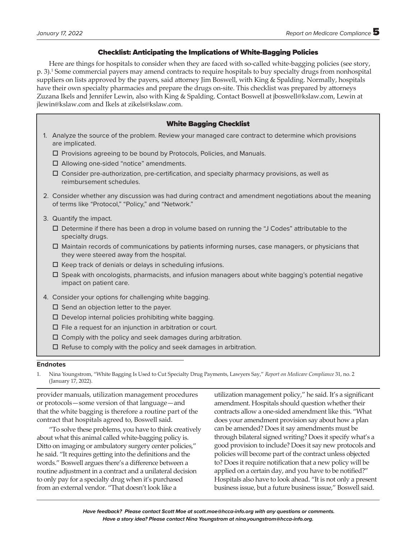# Checklist: Anticipating the Implications of White-Bagging Policies

Here are things for hospitals to consider when they are faced with so-called white-bagging policies (see story, p. 3).1 Some commercial payers may amend contracts to require hospitals to buy specialty drugs from nonhospital suppliers on lists approved by the payers, said attorney Jim Boswell, with King & Spalding. Normally, hospitals have their own specialty pharmacies and prepare the drugs on-site. This checklist was prepared by attorneys Zuzana Ikels and Jennifer Lewin, also with King & Spalding. Contact Boswell at jboswell@kslaw.com, Lewin at jlewin@kslaw.com and Ikels at zikels@kslaw.com.

# White Bagging Checklist

- 1. Analyze the source of the problem. Review your managed care contract to determine which provisions are implicated.
	- $\Box$  Provisions agreeing to be bound by Protocols, Policies, and Manuals.
	- □ Allowing one-sided "notice" amendments.
	- $\Box$  Consider pre-authorization, pre-certification, and specialty pharmacy provisions, as well as reimbursement schedules.
- 2. Consider whether any discussion was had during contract and amendment negotiations about the meaning of terms like "Protocol," "Policy," and "Network."
- 3. Quantify the impact.
	- Determine if there has been a drop in volume based on running the "J Codes" attributable to the specialty drugs.
	- Maintain records of communications by patients informing nurses, case managers, or physicians that they were steered away from the hospital.
	- $\Box$  Keep track of denials or delays in scheduling infusions.
	- Speak with oncologists, pharmacists, and infusion managers about white bagging's potential negative impact on patient care.
- 4. Consider your options for challenging white bagging.
	- $\square$  Send an objection letter to the payer.
	- $\square$  Develop internal policies prohibiting white bagging.
	- $\square$  File a request for an injunction in arbitration or court.
	- $\Box$  Comply with the policy and seek damages during arbitration.
	- $\Box$  Refuse to comply with the policy and seek damages in arbitration.

#### **Endnotes**

1. Nina Youngstrom, "White Bagging Is Used to Cut Specialty Drug Payments, Lawyers Say," *Report on Medicare Compliance* 31, no. 2 (January 17, 2022).

provider manuals, utilization management procedures or protocols—some version of that language—and that the white bagging is therefore a routine part of the contract that hospitals agreed to, Boswell said.

"To solve these problems, you have to think creatively about what this animal called white-bagging policy is. Ditto on imaging or ambulatory surgery center policies," he said. "It requires getting into the definitions and the words." Boswell argues there's a difference between a routine adjustment in a contract and a unilateral decision to only pay for a specialty drug when it's purchased from an external vendor. "That doesn't look like a

utilization management policy," he said. It's a significant amendment. Hospitals should question whether their contracts allow a one-sided amendment like this. "What does your amendment provision say about how a plan can be amended? Does it say amendments must be through bilateral signed writing? Does it specify what's a good provision to include? Does it say new protocols and policies will become part of the contract unless objected to? Does it require notification that a new policy will be applied on a certain day, and you have to be notified?" Hospitals also have to look ahead. "It is not only a present business issue, but a future business issue," Boswell said.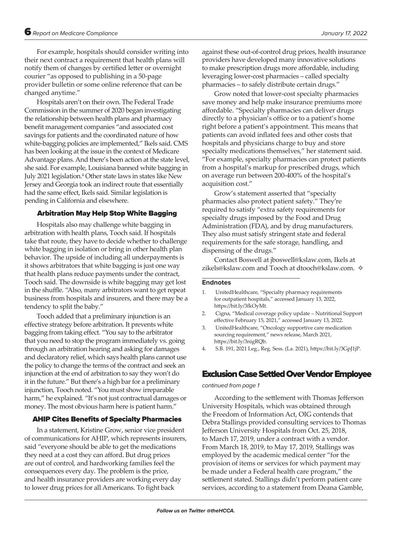For example, hospitals should consider writing into their next contract a requirement that health plans will notify them of changes by certified letter or overnight courier "as opposed to publishing in a 50-page provider bulletin or some online reference that can be changed anytime."

Hospitals aren't on their own. The Federal Trade Commission in the summer of 2020 began investigating the relationship between health plans and pharmacy benefit management companies "and associated cost savings for patients and the coordinated nature of how white-bagging policies are implemented," Ikels said. CMS has been looking at the issue in the context of Medicare Advantage plans. And there's been action at the state level, she said. For example, Louisiana banned white bagging in July 2021 legislation.<sup>4</sup> Other state laws in states like New Jersey and Georgia took an indirect route that essentially had the same effect, Ikels said. Similar legislation is pending in California and elsewhere.

# Arbitration May Help Stop White Bagging

Hospitals also may challenge white bagging in arbitration with health plans, Tooch said. If hospitals take that route, they have to decide whether to challenge white bagging in isolation or bring in other health plan behavior. The upside of including all underpayments is it shows arbitrators that white bagging is just one way that health plans reduce payments under the contract, Tooch said. The downside is white bagging may get lost in the shuffle. "Also, many arbitrators want to get repeat business from hospitals and insurers, and there may be a tendency to split the baby."

Tooch added that a preliminary injunction is an effective strategy before arbitration. It prevents white bagging from taking effect. "You say to the arbitrator that you need to stop the program immediately vs. going through an arbitration hearing and asking for damages and declaratory relief, which says health plans cannot use the policy to change the terms of the contract and seek an injunction at the end of arbitration to say they won't do it in the future." But there's a high bar for a preliminary injunction, Tooch noted. "You must show irreparable harm," he explained. "It's not just contractual damages or money. The most obvious harm here is patient harm."

# AHIP Cites Benefits of Specialty Pharmacies

In a statement, Kristine Grow, senior vice president of communications for AHIP, which represents insurers, said "everyone should be able to get the medications they need at a cost they can afford. But drug prices are out of control, and hardworking families feel the consequences every day. The problem is the price, and health insurance providers are working every day to lower drug prices for all Americans. To fight back

against these out-of-control drug prices, health insurance providers have developed many innovative solutions to make prescription drugs more affordable, including leveraging lower-cost pharmacies – called specialty pharmacies – to safely distribute certain drugs."

Grow noted that lower-cost specialty pharmacies save money and help make insurance premiums more affordable. "Specialty pharmacies can deliver drugs directly to a physician's office or to a patient's home right before a patient's appointment. This means that patients can avoid inflated fees and other costs that hospitals and physicians charge to buy and store specialty medications themselves," her statement said. "For example, specialty pharmacies can protect patients from a hospital's markup for prescribed drugs, which on average run between 200-400% of the hospital's acquisition cost."

Grow's statement asserted that "specialty pharmacies also protect patient safety." They're required to satisfy "extra safety requirements for specialty drugs imposed by the Food and Drug Administration (FDA), and by drug manufacturers. They also must satisfy stringent state and federal requirements for the safe storage, handling, and dispensing of the drugs."

Contact Boswell at jboswell@kslaw.com, Ikels at zikels@kslaw.com and Tooch at dtooch@kslaw.com. ✧

#### **Endnotes**

- 1. UnitedHealthcare, "Specialty pharmacy requirements for outpatient hospitals," accessed January 13, 2022, https://bit.ly/3fkOyMt.
- 2. Cigna, "Medical coverage policy update Nutritional Support effective February 15, 2021," accessed January 13, 2022.
- 3. UnitedHealthcare, "Oncology supportive care medication sourcing requirement," news release, March 2021, https://bit.ly/3nigRQb.
- 4. S.B. 191, 2021 Leg., Reg. Sess. (La. 2021), https://bit.ly/3GpJ1jP.

# Exclusion Case Settled Over Vendor Employee

#### *continued from page 1*

According to the settlement with Thomas Jefferson University Hospitals, which was obtained through the Freedom of Information Act, OIG contends that Debra Stallings provided consulting services to Thomas Jefferson University Hospitals from Oct. 25, 2018, to March 17, 2019, under a contract with a vendor. From March 18, 2019, to May 17, 2019, Stallings was employed by the academic medical center "for the provision of items or services for which payment may be made under a Federal health care program," the settlement stated. Stallings didn't perform patient care services, according to a statement from Deana Gamble,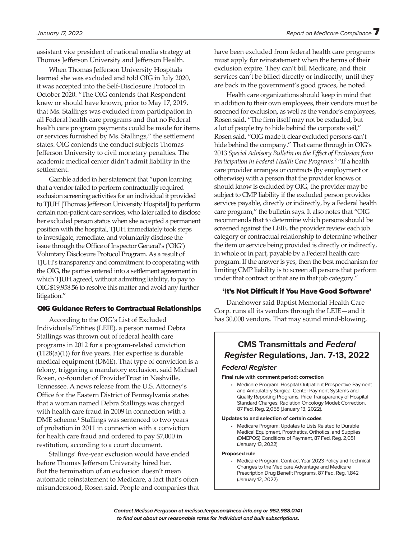assistant vice president of national media strategy at Thomas Jefferson University and Jefferson Health.

When Thomas Jefferson University Hospitals learned she was excluded and told OIG in July 2020, it was accepted into the Self-Disclosure Protocol in October 2020. "The OIG contends that Respondent knew or should have known, prior to May 17, 2019, that Ms. Stallings was excluded from participation in all Federal health care programs and that no Federal health care program payments could be made for items or services furnished by Ms. Stallings," the settlement states. OIG contends the conduct subjects Thomas Jefferson University to civil monetary penalties. The academic medical center didn't admit liability in the settlement.

Gamble added in her statement that "upon learning that a vendor failed to perform contractually required exclusion screening activities for an individual it provided to TJUH [Thomas Jefferson University Hospital] to perform certain non-patient care services, who later failed to disclose her excluded person status when she accepted a permanent position with the hospital, TJUH immediately took steps to investigate, remediate, and voluntarily disclose the issue through the Office of Inspector General's ('OIG') Voluntary Disclosure Protocol Program.As a result of TJUH's transparency and commitment to cooperating with the OIG, the parties entered into a settlement agreement in which TJUH agreed, without admitting liability, to pay to OIG \$19,958.56 to resolve this matter and avoid any further litigation."

#### OIG Guidance Refers to Contractual Relationships

According to the OIG's List of Excluded Individuals/Entities (LEIE), a person named Debra Stallings was thrown out of federal health care programs in 2012 for a program-related conviction  $(1128(a)(1))$  for five years. Her expertise is durable medical equipment (DME). That type of conviction is a felony, triggering a mandatory exclusion, said Michael Rosen, co-founder of ProviderTrust in Nashville, Tennessee. A news release from the U.S. Attorney's Office for the Eastern District of Pennsylvania states that a woman named Debra Stallings was charged with health care fraud in 2009 in connection with a DME scheme.<sup>1</sup> Stallings was sentenced to two years of probation in 2011 in connection with a conviction for health care fraud and ordered to pay \$7,000 in restitution, according to a court document.

Stallings' five-year exclusion would have ended before Thomas Jefferson University hired her. But the termination of an exclusion doesn't mean automatic reinstatement to Medicare, a fact that's often misunderstood, Rosen said. People and companies that have been excluded from federal health care programs must apply for reinstatement when the terms of their exclusion expire. They can't bill Medicare, and their services can't be billed directly or indirectly, until they are back in the government's good graces, he noted.

Health care organizations should keep in mind that in addition to their own employees, their vendors must be screened for exclusion, as well as the vendor's employees, Rosen said. "The firm itself may not be excluded, but a lot of people try to hide behind the corporate veil," Rosen said. "OIG made it clear excluded persons can't hide behind the company." That came through in OIG's 2013 *Special Advisory Bulletin on the Effect of Exclusion from Participation in Federal Health Care Programs.*<sup>2</sup> "If a health care provider arranges or contracts (by employment or otherwise) with a person that the provider knows or should know is excluded by OIG, the provider may be subject to CMP liability if the excluded person provides services payable, directly or indirectly, by a Federal health care program," the bulletin says. It also notes that "OIG recommends that to determine which persons should be screened against the LEIE, the provider review each job category or contractual relationship to determine whether the item or service being provided is directly or indirectly, in whole or in part, payable by a Federal health care program. If the answer is yes, then the best mechanism for limiting CMP liability is to screen all persons that perform under that contract or that are in that job category."

#### 'It's Not Difficult if You Have Good Software'

Danehower said Baptist Memorial Health Care Corp. runs all its vendors through the LEIE—and it has 30,000 vendors. That may sound mind-blowing,

# **CMS Transmittals and** *Federal Register* **Regulations, Jan. 7-13, 2022** *Federal Register*

#### **Final rule with comment period; correction**

• Medicare Program: Hospital Outpatient Prospective Payment and Ambulatory Surgical Center Payment Systems and Quality Reporting Programs; Price Transparency of Hospital Standard Charges; Radiation Oncology Model; Correction, 87 Fed. Reg. 2,058 (January 13, 2022).

#### **Updates to and selection of certain codes**

• Medicare Program; Updates to Lists Related to Durable Medical Equipment, Prosthetics, Orthotics, and Supplies (DMEPOS) Conditions of Payment, 87 Fed. Reg. 2,051 (January 13, 2022).

#### **Proposed rule**

• Medicare Program; Contract Year 2023 Policy and Technical Changes to the Medicare Advantage and Medicare Prescription Drug Benefit Programs, 87 Fed. Reg. 1,842 (January 12, 2022).